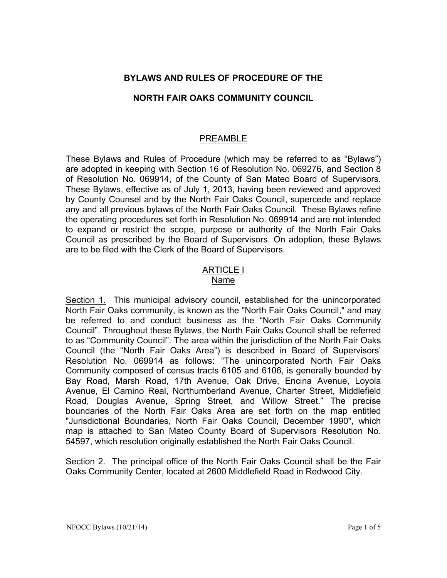# **BYLAWS AND RULES OF PROCEDURE OF THE**

## **NORTH FAIR OAKS COMMUNITY COUNCIL**

## PREAMBLE

These Bylaws and Rules of Procedure (which may be referred to as "Bylaws") are adopted in keeping with Section 16 of Resolution No. 069276, and Section 8 of Resolution No. 069914, of the County of San Mateo Board of Supervisors. These Bylaws, effective as of July 1, 2013, having been reviewed and approved by County Counsel and by the North Fair Oaks Council, supercede and replace any and all previous bylaws of the North Fair Oaks Council. These Bylaws refine the operating procedures set forth in Resolution No. 069914 and are not intended to expand or restrict the scope, purpose or authority of the North Fair Oaks Council as prescribed by the Board of Supervisors. On adoption, these Bylaws are to be filed with the Clerk of the Board of Supervisors.

#### ARTICLE I Name

Section 1. This municipal advisory council, established for the unincorporated North Fair Oaks community, is known as the "North Fair Oaks Council," and may be referred to and conduct business as the "North Fair Oaks Community Council". Throughout these Bylaws, the North Fair Oaks Council shall be referred to as "Community Council". The area within the jurisdiction of the North Fair Oaks Council (the "North Fair Oaks Area") is described in Board of Supervisors' Resolution No. 069914 as follows: "The unincorporated North Fair Oaks Community composed of census tracts 6105 and 6106, is generally bounded by Bay Road, Marsh Road, 17th Avenue, Oak Drive, Encina Avenue, Loyola Avenue, El Camino Real, Northumberland Avenue, Charter Street, Middlefield Road, Douglas Avenue, Spring Street, and Willow Street." The precise boundaries of the North Fair Oaks Area are set forth on the map entitled "Jurisdictional Boundaries, North Fair Oaks Council, December 1990", which map is attached to San Mateo County Board of Supervisors Resolution No. 54597, which resolution originally established the North Fair Oaks Council.

Section 2. The principal office of the North Fair Oaks Council shall be the Fair Oaks Community Center, located at 2600 Middlefield Road in Redwood City.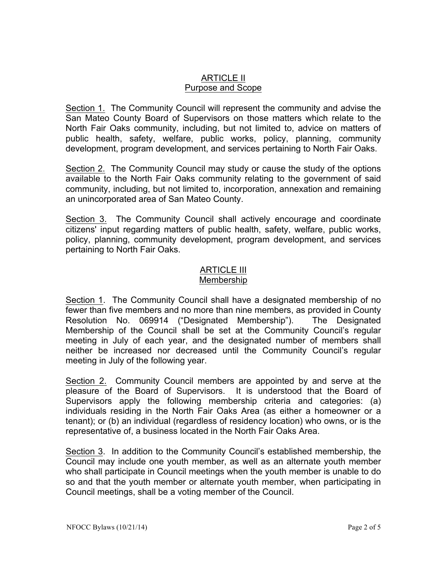## ARTICLE II Purpose and Scope

Section 1. The Community Council will represent the community and advise the San Mateo County Board of Supervisors on those matters which relate to the North Fair Oaks community, including, but not limited to, advice on matters of public health, safety, welfare, public works, policy, planning, community development, program development, and services pertaining to North Fair Oaks.

Section 2. The Community Council may study or cause the study of the options available to the North Fair Oaks community relating to the government of said community, including, but not limited to, incorporation, annexation and remaining an unincorporated area of San Mateo County.

Section 3. The Community Council shall actively encourage and coordinate citizens' input regarding matters of public health, safety, welfare, public works, policy, planning, community development, program development, and services pertaining to North Fair Oaks.

#### ARTICLE III Membership

Section 1. The Community Council shall have a designated membership of no fewer than five members and no more than nine members, as provided in County Resolution No. 069914 ("Designated Membership"). The Designated Membership of the Council shall be set at the Community Council's regular meeting in July of each year, and the designated number of members shall neither be increased nor decreased until the Community Council's regular meeting in July of the following year.

Section 2. Community Council members are appointed by and serve at the pleasure of the Board of Supervisors. It is understood that the Board of Supervisors apply the following membership criteria and categories: (a) individuals residing in the North Fair Oaks Area (as either a homeowner or a tenant); or (b) an individual (regardless of residency location) who owns, or is the representative of, a business located in the North Fair Oaks Area.

Section 3. In addition to the Community Council's established membership, the Council may include one youth member, as well as an alternate youth member who shall participate in Council meetings when the youth member is unable to do so and that the youth member or alternate youth member, when participating in Council meetings, shall be a voting member of the Council.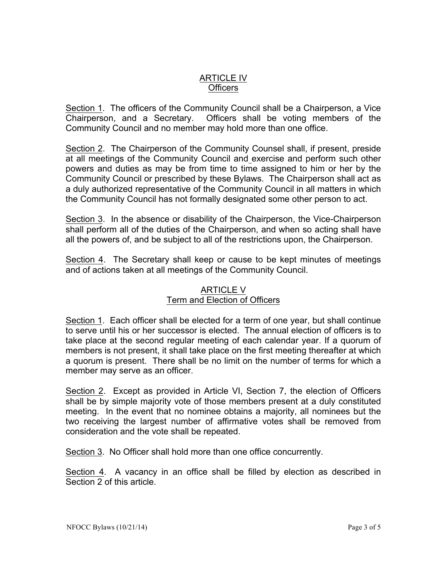## ARTICLE IV **Officers**

Section 1. The officers of the Community Council shall be a Chairperson, a Vice Chairperson, and a Secretary. Officers shall be voting members of the Community Council and no member may hold more than one office.

Section 2. The Chairperson of the Community Counsel shall, if present, preside at all meetings of the Community Council and exercise and perform such other powers and duties as may be from time to time assigned to him or her by the Community Council or prescribed by these Bylaws. The Chairperson shall act as a duly authorized representative of the Community Council in all matters in which the Community Council has not formally designated some other person to act.

Section 3. In the absence or disability of the Chairperson, the Vice-Chairperson shall perform all of the duties of the Chairperson, and when so acting shall have all the powers of, and be subject to all of the restrictions upon, the Chairperson.

Section 4. The Secretary shall keep or cause to be kept minutes of meetings and of actions taken at all meetings of the Community Council.

## ARTICLE V Term and Election of Officers

Section 1. Each officer shall be elected for a term of one year, but shall continue to serve until his or her successor is elected. The annual election of officers is to take place at the second regular meeting of each calendar year. If a quorum of members is not present, it shall take place on the first meeting thereafter at which a quorum is present. There shall be no limit on the number of terms for which a member may serve as an officer.

Section 2. Except as provided in Article VI, Section 7, the election of Officers shall be by simple majority vote of those members present at a duly constituted meeting. In the event that no nominee obtains a majority, all nominees but the two receiving the largest number of affirmative votes shall be removed from consideration and the vote shall be repeated.

Section 3. No Officer shall hold more than one office concurrently.

Section 4. A vacancy in an office shall be filled by election as described in Section 2 of this article.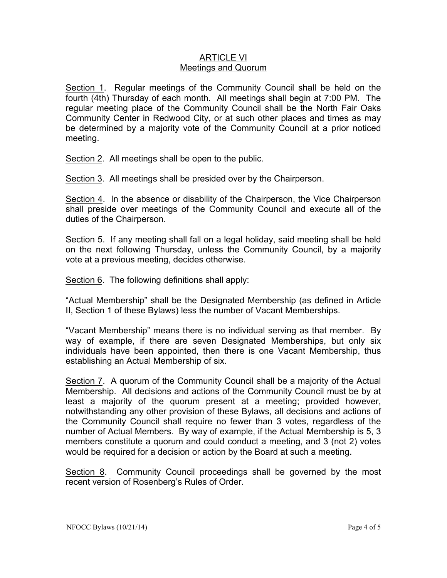### ARTICLE VI Meetings and Quorum

Section 1. Regular meetings of the Community Council shall be held on the fourth (4th) Thursday of each month. All meetings shall begin at 7:00 PM. The regular meeting place of the Community Council shall be the North Fair Oaks Community Center in Redwood City, or at such other places and times as may be determined by a majority vote of the Community Council at a prior noticed meeting.

Section 2. All meetings shall be open to the public.

Section 3. All meetings shall be presided over by the Chairperson.

Section 4. In the absence or disability of the Chairperson, the Vice Chairperson shall preside over meetings of the Community Council and execute all of the duties of the Chairperson.

Section 5. If any meeting shall fall on a legal holiday, said meeting shall be held on the next following Thursday, unless the Community Council, by a majority vote at a previous meeting, decides otherwise.

Section 6. The following definitions shall apply:

"Actual Membership" shall be the Designated Membership (as defined in Article II, Section 1 of these Bylaws) less the number of Vacant Memberships.

"Vacant Membership" means there is no individual serving as that member. By way of example, if there are seven Designated Memberships, but only six individuals have been appointed, then there is one Vacant Membership, thus establishing an Actual Membership of six.

Section 7. A quorum of the Community Council shall be a majority of the Actual Membership. All decisions and actions of the Community Council must be by at least a majority of the quorum present at a meeting; provided however, notwithstanding any other provision of these Bylaws, all decisions and actions of the Community Council shall require no fewer than 3 votes, regardless of the number of Actual Members. By way of example, if the Actual Membership is 5, 3 members constitute a quorum and could conduct a meeting, and 3 (not 2) votes would be required for a decision or action by the Board at such a meeting.

Section 8. Community Council proceedings shall be governed by the most recent version of Rosenberg's Rules of Order.